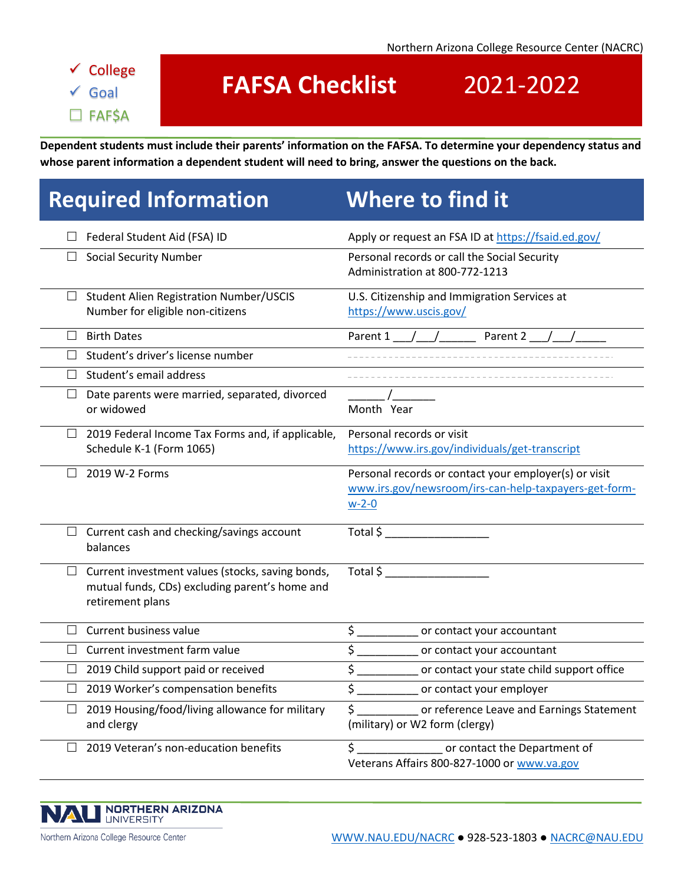### ✓ College ✓ Goal □ FAF\$A

# **FAFSA Checklist** 2021-2022

**Dependent students must include their parents' information on the FAFSA. To determine your dependency status and whose parent information a dependent student will need to bring, answer the questions on the back.**

# **Required Information Where to find it**

|        | $\Box$ Federal Student Aid (FSA) ID                                                                                    | Apply or request an FSA ID at https://fsaid.ed.gov/                                                                                                                                                                                                                                           |
|--------|------------------------------------------------------------------------------------------------------------------------|-----------------------------------------------------------------------------------------------------------------------------------------------------------------------------------------------------------------------------------------------------------------------------------------------|
| $\Box$ | <b>Social Security Number</b>                                                                                          | Personal records or call the Social Security<br>Administration at 800-772-1213                                                                                                                                                                                                                |
| $\Box$ | <b>Student Alien Registration Number/USCIS</b><br>Number for eligible non-citizens                                     | U.S. Citizenship and Immigration Services at<br>https://www.uscis.gov/                                                                                                                                                                                                                        |
| $\Box$ | <b>Birth Dates</b>                                                                                                     | Parent 1 $/$ /<br>Parent 2                                                                                                                                                                                                                                                                    |
| П.     | Student's driver's license number                                                                                      |                                                                                                                                                                                                                                                                                               |
| П.     | Student's email address                                                                                                |                                                                                                                                                                                                                                                                                               |
| $\Box$ | Date parents were married, separated, divorced<br>or widowed                                                           | Month Year                                                                                                                                                                                                                                                                                    |
| $\Box$ | 2019 Federal Income Tax Forms and, if applicable,<br>Schedule K-1 (Form 1065)                                          | Personal records or visit<br>https://www.irs.gov/individuals/get-transcript                                                                                                                                                                                                                   |
|        | 2019 W-2 Forms                                                                                                         | Personal records or contact your employer(s) or visit<br>www.irs.gov/newsroom/irs-can-help-taxpayers-get-form-<br>$w-2-0$                                                                                                                                                                     |
|        | $\Box$ Current cash and checking/savings account<br>balances                                                           | Total \$                                                                                                                                                                                                                                                                                      |
| $\Box$ | Current investment values (stocks, saving bonds,<br>mutual funds, CDs) excluding parent's home and<br>retirement plans | Total $\frac{1}{2}$ and $\frac{1}{2}$ and $\frac{1}{2}$ and $\frac{1}{2}$ and $\frac{1}{2}$ and $\frac{1}{2}$ and $\frac{1}{2}$ and $\frac{1}{2}$ and $\frac{1}{2}$ and $\frac{1}{2}$ and $\frac{1}{2}$ and $\frac{1}{2}$ and $\frac{1}{2}$ and $\frac{1}{2}$ and $\frac{1}{2}$ and $\frac{1$ |
| $\Box$ | Current business value                                                                                                 | $\overline{\mathsf{S}}_{-}$<br>or contact your accountant                                                                                                                                                                                                                                     |
| $\Box$ | Current investment farm value                                                                                          | $\frac{1}{2}$<br>or contact your accountant                                                                                                                                                                                                                                                   |
| $\Box$ | 2019 Child support paid or received                                                                                    | $\overline{\xi}$<br>or contact your state child support office                                                                                                                                                                                                                                |
|        | $\Box$ 2019 Worker's compensation benefits                                                                             | \$<br>or contact your employer                                                                                                                                                                                                                                                                |
|        | 2019 Housing/food/living allowance for military<br>and clergy                                                          | \$<br>or reference Leave and Earnings Statement<br>(military) or W2 form (clergy)                                                                                                                                                                                                             |
| $\Box$ | 2019 Veteran's non-education benefits                                                                                  | \$<br>or contact the Department of<br>Veterans Affairs 800-827-1000 or www.va.gov                                                                                                                                                                                                             |